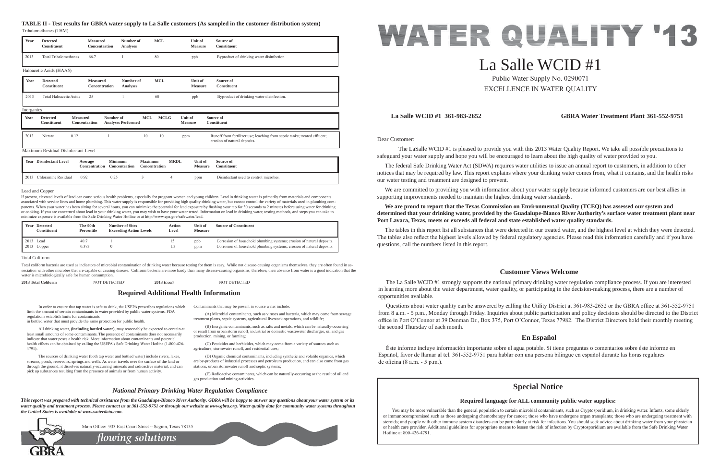Dear Customer:

 The LaSalle WCID #1 is pleased to provide you with this 2013 Water Quality Report. We take all possible precautions to safeguard your water supply and hope you will be encouraged to learn about the high quality of water provided to you.

We are committed to providing you with information about your water supply because informed customers are our best allies in supporting improvements needed to maintain the highest drinking water standards.

 The federal Safe Drinking Water Act (SDWA) requires water utilities to issue an annual report to customers, in addition to other notices that may be required by law. This report explains where your drinking water comes from, what it contains, and the health risks our water testing and treatment are designed to prevent.

**We are proud to report that the Texas Commission on Environmental Quality (TCEQ) has assessed our system and determined that your drinking water, provided by the Guadalupe-Blanco River Authority's surface water treatment plant near Port Lavaca, Texas, meets or exceeds all federal and state established water quality standards.**

Questions about water quality can be answered by calling the Utility District at 361-983-2652 or the GBRA office at 361-552-9751 from 8 a.m. - 5 p.m., Monday through Friday. Inquiries about public participation and policy decisions should be directed to the District office in Port O'Connor at 39 Denman Dr., Box 375, Port O'Connor, Texas 77982. The District Directors hold their monthly meeting the second Thursday of each month.

 Éste informe incluye información importante sobre el agua potable. Si tiene preguntas o comentarios sobre éste informe en Español, favor de llamar al tel. 361-552-9751 para hablar con una persona bilingüe en español durante las horas regulares de oficina  $(8 a.m. - 5 p.m.).$ 

The tables in this report list all substances that were detected in our treated water, and the highest level at which they were detected. The tables also reflect the highest levels allowed by federal regulatory agencies. Please read this information carefully and if you have questions, call the numbers listed in this report.

In order to ensure that tap water is safe to drink, the USEPA prescribes regulations which Contaminants that may be present in source water include: limit the amount of certain contaminants in water provided by public water systems. FDA regulations establish limits for contaminants

 All drinking water, **(including bottled water)**, may reasonably be expected to contain at least small amounts of some contaminants. The presence of contaminants does not necessarily indicate that water poses a health risk. More information about contaminants and potential health effects can be obtained by calling the USEPA's Safe Drinking Water Hotline (1-800-426-4791)

# **La Salle WCID #1 361-983-2652 GBRA Water Treatment Plant 361-552-9751**

# **Customer Views Welcome**

 The La Salle WCID #1 strongly supports the national primary drinking water regulation compliance process. If you are interested in learning more about the water department, water quality, or participating in the decision-making process, there are a number of opportunities available.

 $(C)$  Pesticides and herbicides, which may come from a variety of sources such as agriculture, stormwater runoff, and residential uses;

(D) Organic chemical contaminants, including synthetic and volatile organics, which are by-products of industrial processes and petroleum production, and can also come from gas stations, urban stormwater runoff and septic systems;

# **En Español**

in bottled water that must provide the same protection for public health.

*flowing solutions* Main Office: 933 East Court Street  $\sim$  Seguin, Texas 78155



 The sources of drinking water (both tap water and bottled water) include rivers, lakes, streams, ponds, reservoirs, springs and wells. As water travels over the surface of the land or through the ground, it dissolves naturally-occurring minerals and radioactive material, and can pick up substances resulting from the presence of animals or from human activity.

If present, elevated levels of lead can cause serious health problems, especially for pregnant women and young children. Lead in drinking water is primarily from materials and components associated with service lines and home plumbing. This water supply is responsible for providing high quality drinking water, but cannot control the variety of materials used in plumbing comnonents. When your water has been sitting for several hours, you can minimize the potential for lead exposure by flushing your tap for 30 seconds to 2 minutes before using water for drinking or cooking. If you are concerned about lead in your drinking water, you may wish to have your water tested. Information on lead in drinking water, testing methods, and steps you can take to minimize exposure is available from the Safe Drinking Water Hotline or at http://www.epa.gov/safewater/lead.

> (A) Microbial contaminants, such as viruses and bacteria, which may come from sewage treatment plants, septic systems, agricultural livestock operations, and wildlife;

 (B) Inorganic contaminants, such as salts and metals, which can be naturally-occurring or result from urban storm runoff, industrial or domestic wastewater discharges, oil and gas production, mining, or farming;

 (E) Radioactive contaminants, which can be naturally-occurring or the result of oil and gas production and mining activities.

# **Required Additional Health Information**

# *National Primary Drinking Water Regulation Compliance*

*This report was prepared with technical assistance from the Guadalupe-Blanco River Authority. GBRA will be happy to answer any questions about your water system or its water quality and treatment process. Please contact us at 361-552-9751 or through our website at www.gbra.org. Water quality data for community water systems throughout the United States is available at www.waterdata.com.*



# La Salle WCID #1

Public Water Supply No. 0290071 EXCELLENCE IN WATER QUALITY

#### Total Coliform

Total coliform bacteria are used as indicators of microbial contamination of drinking water because testing for them is easy. While not disease-causing organisms themselves, they are often found in association with other microbes that are capable of causing disease. Coliform bacteria are more hardy than many disease-causing organisms, therefore, their absence from water is a good indication that the water is microbiologically safe for human consumption.

**2013 Total Coliform 127' (2013** *E.coli* **127' (2013** *E.coli* **127' (2013** *E.coli* **127' (2013** *E.coli* **127')** 

# **Special Notice**

# **Required language for ALL community public water supplies:**

You may be more vulnerable than the general population to certain microbial contaminants, such as Cryptosporidium, in drinking water. Infants, some elderly or immunocompromised such as those undergoing chemotherapy for cancer; those who have undergone organ transplants; those who are undergoing treatment with steroids; and people with other immune system disorders can be particularly at risk for infections. You should seek advice about drinking water from your physician or health care provider. Additional guidelines for appropriate means to lessen the risk of infection by Cryptosporidium are available from the Safe Drinking Water Hotline at 800-426-4791.

# Lead and Copper

| Year | <b>Detected</b><br><b>Constituent</b>                    | <b>Measured</b><br>Concentration           | Number of<br><b>Analyses</b>            | <b>MCL</b>                               | Unit of<br><b>Measure</b>        | Source of<br><b>Constituent</b>                                                                           |  |
|------|----------------------------------------------------------|--------------------------------------------|-----------------------------------------|------------------------------------------|----------------------------------|-----------------------------------------------------------------------------------------------------------|--|
| 2013 | <b>Total Trihalomethanes</b>                             | 66.7                                       |                                         | 80                                       | ppb                              | Byproduct of drinking water disinfection.                                                                 |  |
|      | Haloacetic Acids (HAA5)                                  |                                            |                                         |                                          |                                  |                                                                                                           |  |
| Year | <b>Detected</b><br><b>Constituent</b>                    | <b>Measured</b><br>Concentration           | Number of<br><b>Analyses</b>            | <b>MCL</b>                               | <b>Unit of</b><br><b>Measure</b> | Source of<br><b>Constituent</b>                                                                           |  |
| 2013 | <b>Total Haloacetic Acids</b>                            | 25                                         |                                         | 60                                       | ppb                              | Byproduct of drinking water disinfection.                                                                 |  |
|      | Inorganics                                               |                                            |                                         |                                          |                                  |                                                                                                           |  |
| Year | <b>Detected</b><br><b>Measured</b><br><b>Constituent</b> | Number of<br>Concentration                 | <b>MCL</b><br><b>Analyses Performed</b> | <b>MCLG</b><br>Unit of<br><b>Measure</b> |                                  | Source of<br><b>Constituent</b>                                                                           |  |
| 2013 | 0.12<br>Nitrate                                          |                                            | 10                                      | 10<br>ppm                                |                                  | Runoff from fertilizer use; leaching from septic tanks; treated effluent;<br>erosion of natural deposits. |  |
|      | Maximum Residual Disinfectant Level                      |                                            |                                         |                                          |                                  |                                                                                                           |  |
|      | <b>Year</b> Disinfectant Level                           | <b>Minimum</b><br>Average<br>Concentration | <b>Maximum</b><br><b>Concentration</b>  | <b>MRDL</b><br>Concentration             | Unit of<br><b>Measure</b>        | Source of<br><b>Constituent</b>                                                                           |  |
| 2013 | Chloramine Residual                                      | 0.25<br>0.92                               | 3                                       | $\overline{4}$                           | ppm                              | Disinfectant used to control microbes.                                                                    |  |

|              | Year Detected<br>Constituent | The 90th<br>Percentile | <b>Number of Sites</b><br><b>Exceeding Action Levels</b> | Action<br>Level | Unit of<br><b>Measure</b> | <b>Source of Constituent</b>                                                                                                                   |
|--------------|------------------------------|------------------------|----------------------------------------------------------|-----------------|---------------------------|------------------------------------------------------------------------------------------------------------------------------------------------|
| 2013<br>2013 | Lead<br>Copper               | 40.7<br>0.373          |                                                          |                 | ppb<br>ppm                | Corrosion of household plumbing systems; erosion of natural deposits.<br>Corrosion of household plumbing systems; erosion of natural deposits. |

# **TABLE II - Test results for GBRA water supply to La Salle customers (As sampled in the customer distribution system)**

Trihalomethanes (THM)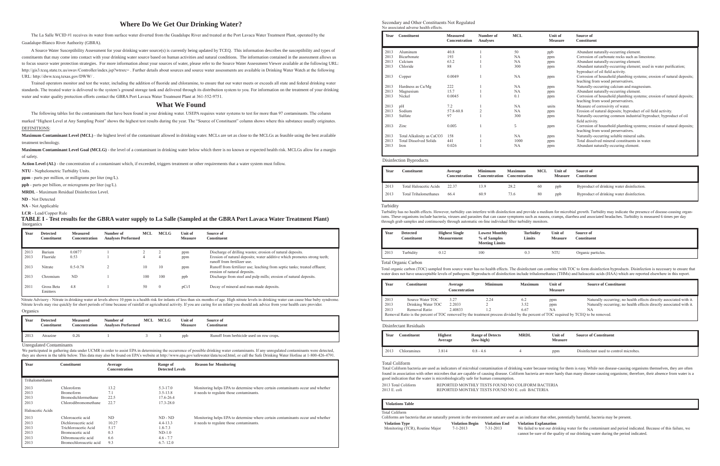# **Where Do We Get Our Drinking Water?**

The La Salle WCID #1 receives its water from surface water diverted from the Guadalupe River and treated at the Port Lavaca Water Treatment Plant, operated by the Guadalupe-Blanco River Authority (GBRA).

 A Source Water Susceptibility Assessment for your drinking water source(s) is currently being updated by TCEQ. This information describes the susceptibility and types of constituents that may come into contact with your drinking water source based on human activities and natural conditions. The information contained in the assessment allows us to focus source water protection strategies. For more information about your sources of water, please refer to the Source Water Assessment Viewer available at the following URL: http://gis3.tceq.state.tx.us/swav/Controller/index.jsp?wtrsrc=. Further details about sources and source water assessments are available in Drinking Water Watch at the following URL: http://dww.tcea.texas.gov/DWW/

Trained operators monitor and test the water, including the addition of fluoride and chloramine, to ensure that our water meets or exceeds all state and federal drinking water standards. The treated water is delivered to the system's ground storage tank and delivered through its distribution system to you. For information on the treatment of your drinking water and water quality protection efforts contact the GBRA Port Lavaca Water Treatment Plant at 361-552-9751.

Maximum Contaminant Level (MCL) - the highest level of the contaminant allowed in drinking water. MCLs are set as close to the MCLGs as feasible using the best available treatment technology.

# **What We Found**

The following tables list the contaminants that have been found in your drinking water. USEPA requires water systems to test for more than 97 contaminants. The column

marked "Highest Level at Any Sampling Point" shows the highest test results during the year. The "Source of Constituent" column shows where this substance usually originates. DEFINITIONS:

**Maximum Contaminant Level Goal (MCLG)** - the level of a contaminant in drinking water below which there is no known or expected health risk. MCLGs allow for a margin of safety.

**Action Level (AL)** - the concentration of a contaminant which, if exceeded, triggers treatment or other requirements that a water system must follow.

**NTU** - Nephelometric Turbidity Units.

ppm - parts per million, or milligrams per liter (mg/L).

ppb - parts per billion, or micrograms per liter (ug/L).

**MRDL** - Maximum Residual Disinfection Level.

**ND** - Not Detected

**NA** - Not Applicable

# LCR - Lead/Copper Rule

| Year | <b>Detected</b><br><b>Constituent</b> | <b>Measured</b><br><b>Concentration</b> | Number of<br><b>Analyses Performed</b> | MCL | <b>MCLG</b>  | Unit of<br><b>Measure</b> | Source of<br><b>Constituent</b>                                                                           |
|------|---------------------------------------|-----------------------------------------|----------------------------------------|-----|--------------|---------------------------|-----------------------------------------------------------------------------------------------------------|
| 2013 | Barium                                | 0.0877                                  |                                        |     |              | ppm                       | Discharge of drilling wastes; erosion of natural deposits.                                                |
| 2013 | Fluoride                              | 0.53                                    |                                        | 4   | 4            | ppm                       | Erosion of natural deposits; water additive which promotes strong teeth;<br>runoff from fertilizer use.   |
| 2013 | Nitrate                               | $0.5 - 0.78$                            |                                        | 10  | 10           | ppm                       | Runoff from fertilizer use; leaching from septic tanks; treated effluent;<br>erosion of natural deposits. |
| 2013 | Chromium                              | <b>ND</b>                               |                                        | 100 | 100          | ppb                       | Discharge from steel and pulp mills; erosion of natural deposits.                                         |
| 2011 | Gross Beta<br>Emitters                | 4.8                                     |                                        | 50  | $\mathbf{0}$ | pCi/l                     | Decay of mineral and man-made deposits.                                                                   |

Organics Nitrate Advisory - Nitrate in drinking water at levels above 10 ppm is a health risk for infants of less than six months of age. High nitrate levels in drinking water can cause blue baby syndrome. Nitrate levels may rise quickly for short periods of time because of rainfall or agricultural activity. If you are caring for an infant you should ask advice from your health care provider.

Secondary and Other Constituents Not Regulated No associated adverse health effects

| Year | <b>Constituent</b>            | <b>Measured</b><br>Concentration | Number of<br><b>Analyses</b> | <b>MCL</b> | Unit of<br><b>Measure</b> | Source of<br><b>Constituent</b>                                                                            |
|------|-------------------------------|----------------------------------|------------------------------|------------|---------------------------|------------------------------------------------------------------------------------------------------------|
| 2013 | Aluminum                      | 40.8                             |                              | 50         | ppb                       | Abundant naturally-occurring element.                                                                      |
| 2013 | Bicarbonate                   | 193                              |                              | <b>NA</b>  | ppm                       | Corrosion of carbonate rocks such as limestone.                                                            |
| 2013 | Calcium                       | 63.2                             |                              | <b>NA</b>  | ppm                       | Abundant naturally-occurring element.                                                                      |
| 2013 | Chloride                      | 88                               |                              | 300        | ppm                       | Abundant naturally-occurring element; used in water purification;<br>byproduct of oil field activity.      |
| 2013 | Copper                        | 0.0049                           |                              | <b>NA</b>  | ppm                       | Corrosion of household plumbing systems; erosion of natural deposits;<br>leaching from wood perservatives. |
| 2013 | Hardness as Ca/Mg             | 222                              |                              | <b>NA</b>  | ppm                       | Naturally-occurring calcium and magnesium.                                                                 |
| 2013 | Magnesium                     | 15.7                             |                              | <b>NA</b>  | ppm                       | Abundant naturally-occurring element.                                                                      |
| 2013 | Nickel                        | 0.0045                           |                              | 0.1        | ppm                       | Corrosion of household plumbing systems; erosion of natural deposits;<br>leaching from wood perservatives. |
| 2013 | pH                            | 7.2                              |                              | <b>NA</b>  | units                     | Measure of corrosivity of water.                                                                           |
| 2013 | Sodium                        | 57.8-60.8                        |                              | NA         | ppm                       | Erosion of natural deposits; byproduct of oil field activity.                                              |
| 2013 | Sulfate                       | 97                               |                              | 300        | ppm                       | Naturally-occurring common industrial byproduct; byproduct of oil<br>field activity.                       |
| 2013 | Zinc                          | 0.005                            |                              | 5          | ppm                       | Corrosion of household plumbing systems; erosion of natural deposits;<br>leaching from wood perservatives. |
| 2013 | Total Alkalinity as CaCO3     | 158                              |                              | <b>NA</b>  | ppm                       | Naturally-occurring soluble mineral salts.                                                                 |
| 2013 | <b>Total Dissolved Solids</b> | 441                              |                              | 1000       | ppm                       | Total dissolved mineral constituents in water.                                                             |
| 2013 | Iron                          | 0.026                            |                              | <b>NA</b>  | ppm                       | Abundant naturally-occuring element.                                                                       |

| Year | <b>Constituent</b>           | Average<br><b>Concentration</b> | <b>Minimum</b><br><b>Concentration</b> | <b>Maximum</b><br><b>Concentration</b> | <b>MCL</b> | Unit of<br><b>Measure</b> | Source of<br><b>Constituent</b>           |
|------|------------------------------|---------------------------------|----------------------------------------|----------------------------------------|------------|---------------------------|-------------------------------------------|
| 2013 | Total Haloacetic Acids       | 22.37                           | 13.9                                   | 28.2                                   | -60        | ppb                       | Byproduct of drinking water disinfection. |
| 2013 | <b>Total Trihalomethanes</b> | 66.4                            | 60.9                                   | 73.6                                   | 80         | ppb                       | Byproduct of drinking water disinfection. |

#### Disinfection Byproducts

| Year | Detected<br>Constituent | <b>Measured</b><br>Concentration | Number of<br><b>Analyses Performed</b> | MCL | <b>MCLG</b> | Unit of<br><b>Measure</b> | Source of<br>Constituent                 |
|------|-------------------------|----------------------------------|----------------------------------------|-----|-------------|---------------------------|------------------------------------------|
| 2013 | Atrazine                | 0.26                             |                                        |     |             | ppb                       | Runoff from herbicide used on row crops. |

| Year         | <b>Constituent</b>                          | Average<br><b>Concentration</b> | Range of<br><b>Detected Levels</b> | <b>Reason for Monitoring</b>                                                                                               |
|--------------|---------------------------------------------|---------------------------------|------------------------------------|----------------------------------------------------------------------------------------------------------------------------|
|              | Trihalomethanes                             |                                 |                                    |                                                                                                                            |
| 2013<br>2013 | Chloroform<br><b>Bromoform</b>              | 13.2<br>7.1                     | $5.3 - 17.0$<br>$3.5 - 13.8$       | Monitoring helps EPA to determine where certain contaminants occur and whether<br>it needs to regulate those contaminants. |
| 2013<br>2013 | Bromodichlormethane<br>Chlorodibromomethane | 22.5<br>22.7                    | 17.6-26.4<br>$17.3 - 28.0$         |                                                                                                                            |
|              | Haloacetic Acids                            |                                 |                                    |                                                                                                                            |
| 2013         | Chloroacetic acid                           | ND                              | $ND - ND$                          | Monitoring helps EPA to determine where certain contaminants occur and whether                                             |
| 2013         | Dichloroacetic acid                         | 10.27                           | $4.4 - 13.3$                       | it needs to regulate those contaminants.                                                                                   |
| 2013         | Trichloroacetic Acid                        | 5.17                            | $1.8 - 7.3$                        |                                                                                                                            |
| 2013         | Bromoacetic acid                            | 0.3                             | $ND-1.0$                           |                                                                                                                            |
| 2013         | Dibromoacetic acid                          | 6.6                             | $4.6 - 7.7$                        |                                                                                                                            |
| 2013         | Bromochloroacetic acid                      | 9.3                             | $6.7 - 12.0$                       |                                                                                                                            |

# Inorganics **TABLE I - Test results for the GBRA water supply to La Salle (Sampled at the GBRA Port Lavaca Water Treatment Plant)**

Unregulated Contaminants

We participated in gathering data under UCMR in order to assist EPA in determining the occurrence of possible drinking water contaminants. If any unregulated contaminants were detected, they are shown in the table below. This data may also be found on EPA's website at http://www.epa.gov/safewater/data/ncod.html, or call the Safe Drinking Water Hotline at 1-800-426-4791.

> failed to test our drinking water for the contaminant and period indicated. Because of this failure, we cannot be sure of the quality of our drinking water during the period indicated.

| Year | Constituent | <b>Highest</b><br>Average | <b>Range of Detects</b><br>(low-high) | <b>MRDL</b> | Unit of<br><b>Measure</b> | <b>Source of Constituent</b>           |
|------|-------------|---------------------------|---------------------------------------|-------------|---------------------------|----------------------------------------|
| 2013 | Chloramines | 3.814                     | $0.8 - 4.6$                           |             | ppm                       | Disinfectant used to control microbes. |

#### Disinfectant Residuals

| Year | Constituent                                                                                                                        | Average<br><b>Concentration</b> | <b>Minimum</b> | <b>Maximum</b> | Unit of<br><b>Measure</b> | <b>Source of Constituent</b>                                        |
|------|------------------------------------------------------------------------------------------------------------------------------------|---------------------------------|----------------|----------------|---------------------------|---------------------------------------------------------------------|
| 2013 | Source Water TOC                                                                                                                   | 3.27                            | 2.24           | 6.2            | ppm                       | Naturally occurring; no health effects directly associated with it. |
| 2013 | Drinking Water TOC                                                                                                                 | 2.2033                          |                | 3.52           | ppm                       | Naturally occurring; no health effects directly associated with it. |
| 2013 | Removal Ratio                                                                                                                      | 2.40833                         |                | 6.67           | NA                        | ΝA                                                                  |
|      | Removal Ratio is the percent of TOC removed by the treatment process divided by the percent of TOC required by TCEQ to be removed. |                                 |                |                |                           |                                                                     |

| Year | <b>Detected</b><br><b>Constituent</b> | <b>Highest Single</b><br><b>Measurement</b> | <b>Lowest Monthly</b><br>% of Samples<br><b>Meeting Limits</b> | <b>Turbidity</b><br>Limits | Unit of<br><b>Measure</b> | Source of<br>Constituent |
|------|---------------------------------------|---------------------------------------------|----------------------------------------------------------------|----------------------------|---------------------------|--------------------------|
| 2013 | Turbidity                             | 0.12                                        | 100                                                            | 0.3                        | NTU                       | Organic particles.       |

### Total Organic Carbon

Total organic carbon (TOC) sampled from source water has no health effects. The disinfectant can combine with TOC to form disinfection byproducts. Disinfection is necessary to ensure that water does not have unacceptable levels of pathogens. Byproducts of disinfection include trihalomethanes (THMs) and haloacetic acids (HAA) which are reported elsewhere in this report.

#### Turbidity

Turbidity has no health effects. However, turbidity can interfere with disinfection and provide a medium for microbial growth. Turbidity may indicate the presence of disease-causing organisms. These organisms include bacteria, viruses and parasites that can cause symptoms such as nausea, cramps, diarrhea and associated headaches. Turbidity is measured 6 times per day through grab samples and continuously through automatic on-line individual filter turbidity monitors.

#### Total Coliform

|                     | Total Coliform bacteria are used as indicators of microbial contamination of drinking wat |
|---------------------|-------------------------------------------------------------------------------------------|
|                     | found in association with other microbes that are capable of causing disease. Coliform ba |
|                     | good indication that the water is microbiologically safe for human consumption.           |
| 2013 Total Coliform | REPORTED MONTHLY TESTS FOUND NO COLIFO                                                    |
| 2013 E. coli -      | REPORTED MONTHLY TESTS FOUND NO E coli 1                                                  |

| <b>Violations Table</b>                                                                                   |                                          |                                   |              |
|-----------------------------------------------------------------------------------------------------------|------------------------------------------|-----------------------------------|--------------|
| Total Coliform<br>Coliforms are bacteria that are naturally present in the environment and are used as an |                                          |                                   |              |
| <b>Violation Type</b><br>Monitoring (TCR), Routine Major                                                  | <b>Violation Begin</b><br>$7 - 1 - 2013$ | <b>Violation End</b><br>7-31-2013 | Viol<br>We 1 |

ter because testing for them is easy. While not disease-causing organisms themselves, they are often acteria are more hardy than many disease-causing organisms; therefore, their absence from water is a

ORM BACTERIA  $BACTERIA$ 

indicator that other, potentially harmful, bacteria may be present.

#### **Validation Explanation**